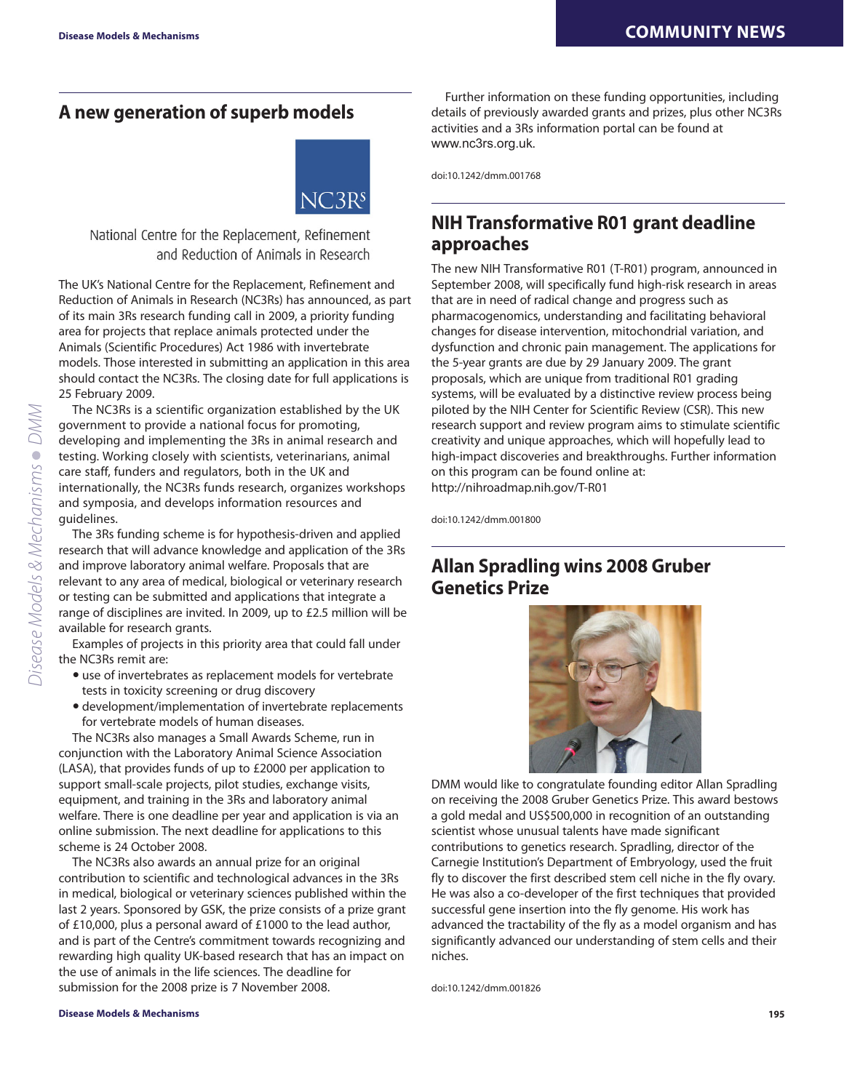## **A new generation of superb models**



National Centre for the Replacement, Refinement and Reduction of Animals in Research

The UK's National Centre for the Replacement, Refinement and Reduction of Animals in Research (NC3Rs) has announced, as part of its main 3Rs research funding call in 2009, a priority funding area for projects that replace animals protected under the Animals (Scientific Procedures) Act 1986 with invertebrate models. Those interested in submitting an application in this area should contact the NC3Rs. The closing date for full applications is 25 February 2009.

The NC3Rs is a scientific organization established by the UK government to provide a national focus for promoting, developing and implementing the 3Rs in animal research and testing. Working closely with scientists, veterinarians, animal care staff, funders and regulators, both in the UK and internationally, the NC3Rs funds research, organizes workshops and symposia, and develops information resources and guidelines.

The 3Rs funding scheme is for hypothesis-driven and applied research that will advance knowledge and application of the 3Rs and improve laboratory animal welfare. Proposals that are relevant to any area of medical, biological or veterinary research or testing can be submitted and applications that integrate a range of disciplines are invited. In 2009, up to £2.5 million will be available for research grants.

Examples of projects in this priority area that could fall under the NC3Rs remit are:

- use of invertebrates as replacement models for vertebrate tests in toxicity screening or drug discovery
- development/implementation of invertebrate replacements for vertebrate models of human diseases.

The NC3Rs also manages a Small Awards Scheme, run in conjunction with the Laboratory Animal Science Association (LASA), that provides funds of up to £2000 per application to support small-scale projects, pilot studies, exchange visits, equipment, and training in the 3Rs and laboratory animal welfare. There is one deadline per year and application is via an online submission. The next deadline for applications to this scheme is 24 October 2008.

The NC3Rs also awards an annual prize for an original contribution to scientific and technological advances in the 3Rs in medical, biological or veterinary sciences published within the last 2 years. Sponsored by GSK, the prize consists of a prize grant of £10,000, plus a personal award of £1000 to the lead author, and is part of the Centre's commitment towards recognizing and rewarding high quality UK-based research that has an impact on the use of animals in the life sciences. The deadline for submission for the 2008 prize is 7 November 2008.

Further information on these funding opportunities, including details of previously awarded grants and prizes, plus other NC3Rs activities and a 3Rs information portal can be found at www.nc3rs.org.uk.

doi:10.1242/dmm.001768

## **NIH Transformative R01 grant deadline approaches**

The new NIH Transformative R01 (T-R01) program, announced in September 2008, will specifically fund high-risk research in areas that are in need of radical change and progress such as pharmacogenomics, understanding and facilitating behavioral changes for disease intervention, mitochondrial variation, and dysfunction and chronic pain management. The applications for the 5-year grants are due by 29 January 2009. The grant proposals, which are unique from traditional R01 grading systems, will be evaluated by a distinctive review process being piloted by the NIH Center for Scientific Review (CSR). This new research support and review program aims to stimulate scientific creativity and unique approaches, which will hopefully lead to high-impact discoveries and breakthroughs. Further information on this program can be found online at: http://nihroadmap.nih.gov/T-R01

doi:10.1242/dmm.001800

## **Allan Spradling wins 2008 Gruber Genetics Prize**



DMM would like to congratulate founding editor Allan Spradling on receiving the 2008 Gruber Genetics Prize. This award bestows a gold medal and US\$500,000 in recognition of an outstanding scientist whose unusual talents have made significant contributions to genetics research. Spradling, director of the Carnegie Institution's Department of Embryology, used the fruit fly to discover the first described stem cell niche in the fly ovary. He was also a co-developer of the first techniques that provided successful gene insertion into the fly genome. His work has advanced the tractability of the fly as a model organism and has significantly advanced our understanding of stem cells and their niches.

doi:10.1242/dmm.001826